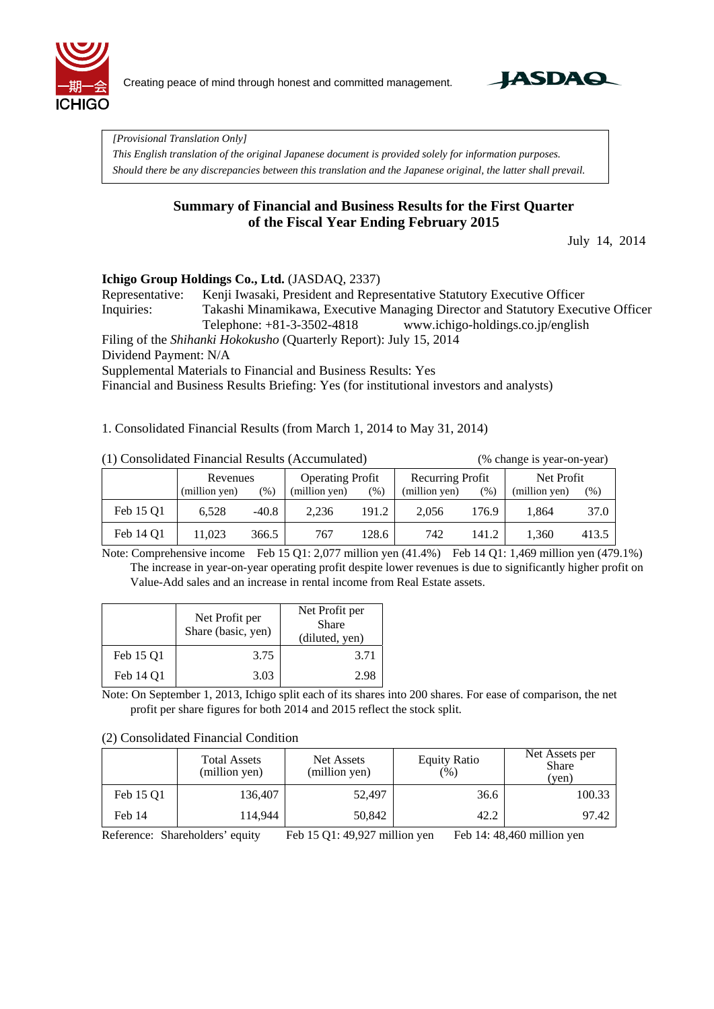

Creating peace of mind through honest and committed management.



*[Provisional Translation Only]* 

*This English translation of the original Japanese document is provided solely for information purposes. Should there be any discrepancies between this translation and the Japanese original, the latter shall prevail.*

## **Summary of Financial and Business Results for the First Quarter of the Fiscal Year Ending February 2015**

July 14, 2014

## **Ichigo Group Holdings Co., Ltd.** (JASDAQ, 2337)

Representative: Kenji Iwasaki, President and Representative Statutory Executive Officer Inquiries: Takashi Minamikawa, Executive Managing Director and Statutory Executive Officer Telephone: +81-3-3502-4818 www.ichigo-holdings.co.jp/english

Filing of the *Shihanki Hokokusho* (Quarterly Report): July 15, 2014

Dividend Payment: N/A

Supplemental Materials to Financial and Business Results: Yes

Financial and Business Results Briefing: Yes (for institutional investors and analysts)

1. Consolidated Financial Results (from March 1, 2014 to May 31, 2014)

| (1) Consolidated Financial Results (Accumulated) |               |         |                         |       |                  |       | (% change is year-on-year) |         |
|--------------------------------------------------|---------------|---------|-------------------------|-------|------------------|-------|----------------------------|---------|
|                                                  | Revenues      |         | <b>Operating Profit</b> |       | Recurring Profit |       | Net Profit                 |         |
|                                                  | (million yen) | $(\%)$  | (million yen)           | (%)   | (million yen)    | (%)   | (million yen)              | $(\% )$ |
| Feb 15 Q1                                        | 6.528         | $-40.8$ | 2.236                   | 191.2 | 2.056            | 176.9 | 1.864                      | 37.0    |
| Feb 14 Q1                                        | 11.023        | 366.5   | 767                     | 128.6 | 742              | 141.2 | 1.360                      | 413.5   |

Note: Comprehensive income Feb 15 Q1: 2,077 million yen (41.4%) Feb 14 Q1: 1,469 million yen (479.1%) The increase in year-on-year operating profit despite lower revenues is due to significantly higher profit on Value-Add sales and an increase in rental income from Real Estate assets.

|           | Net Profit per<br>Share (basic, yen) | Net Profit per<br><b>Share</b><br>(diluted, yen) |
|-----------|--------------------------------------|--------------------------------------------------|
| Feb 15 O1 | 3.75                                 | 3.71                                             |
| Feb 14 O1 | 3.03                                 | 2.98                                             |

Note: On September 1, 2013, Ichigo split each of its shares into 200 shares. For ease of comparison, the net profit per share figures for both 2014 and 2015 reflect the stock split.

#### (2) Consolidated Financial Condition

|           | <b>Total Assets</b><br>(million yen) | Net Assets<br>(million yen) | <b>Equity Ratio</b><br>(% ) | Net Assets per<br><b>Share</b><br>(yen) |
|-----------|--------------------------------------|-----------------------------|-----------------------------|-----------------------------------------|
| Feb 15 O1 | 136,407                              | 52,497                      | 36.6                        | 100.33                                  |
| Feb 14    | 114,944                              | 50,842                      | 42.2                        | 97.42                                   |

Reference: Shareholders' equity Feb 15 Q1: 49,927 million yen Feb 14: 48,460 million yen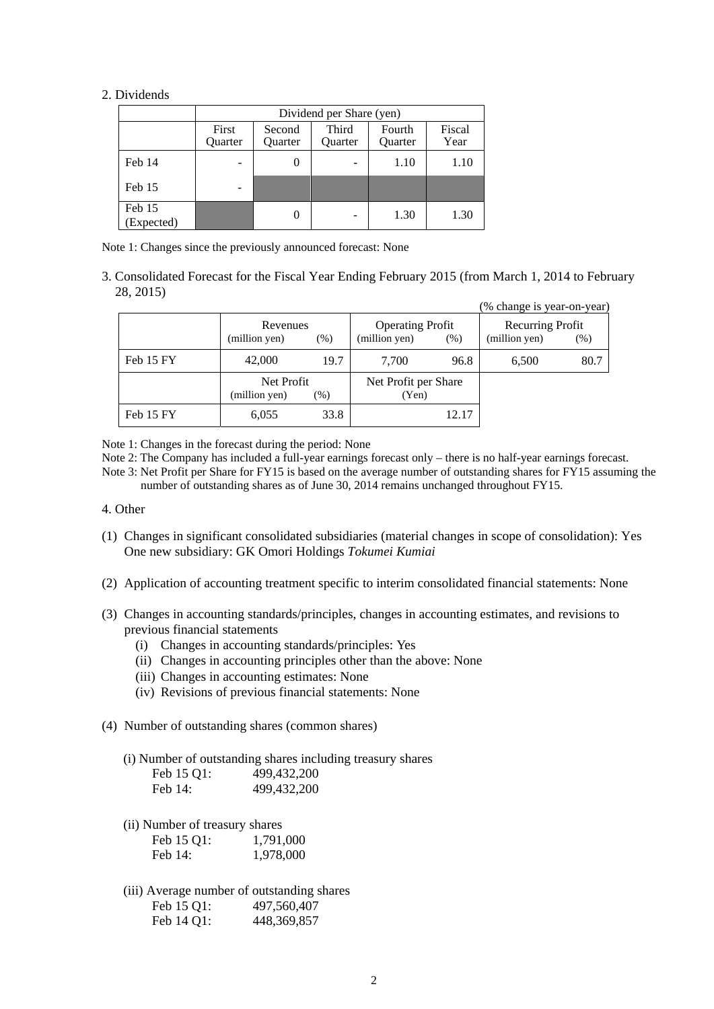#### 2. Dividends

|                      | Dividend per Share (yen) |                   |                  |                   |                |  |  |
|----------------------|--------------------------|-------------------|------------------|-------------------|----------------|--|--|
|                      | First<br>Quarter         | Second<br>Quarter | Third<br>Quarter | Fourth<br>Quarter | Fiscal<br>Year |  |  |
| Feb 14               |                          | $\theta$          |                  | 1.10              | 1.10           |  |  |
| Feb 15               |                          |                   |                  |                   |                |  |  |
| Feb 15<br>(Expected) |                          | 0                 |                  | 1.30              | 1.30           |  |  |

Note 1: Changes since the previously announced forecast: None

3. Consolidated Forecast for the Fiscal Year Ending February 2015 (from March 1, 2014 to February 28, 2015)  $(%$  change is year-on-year)

|           |               |         |                         |       | (% change is year-on-year) |      |
|-----------|---------------|---------|-------------------------|-------|----------------------------|------|
|           | Revenues      |         | <b>Operating Profit</b> |       | Recurring Profit           |      |
|           | (million yen) | $(\% )$ | (million yen)           | (% )  | (million yen)              | (% ) |
| Feb 15 FY | 42,000        | 19.7    | 7.700                   | 96.8  | 6,500                      | 80.7 |
|           | Net Profit    |         | Net Profit per Share    |       |                            |      |
|           | (million yen) | $(\%)$  | (Yen)                   |       |                            |      |
| Feb 15 FY | 6,055         | 33.8    |                         | 12.17 |                            |      |

Note 1: Changes in the forecast during the period: None

Note 2: The Company has included a full-year earnings forecast only – there is no half-year earnings forecast.

Note 3: Net Profit per Share for FY15 is based on the average number of outstanding shares for FY15 assuming the number of outstanding shares as of June 30, 2014 remains unchanged throughout FY15.

- 4. Other
- (1) Changes in significant consolidated subsidiaries (material changes in scope of consolidation): Yes One new subsidiary: GK Omori Holdings *Tokumei Kumiai*
- (2) Application of accounting treatment specific to interim consolidated financial statements: None
- (3) Changes in accounting standards/principles, changes in accounting estimates, and revisions to previous financial statements
	- (i) Changes in accounting standards/principles: Yes
	- (ii) Changes in accounting principles other than the above: None
	- (iii) Changes in accounting estimates: None
	- (iv) Revisions of previous financial statements: None
- (4) Number of outstanding shares (common shares)

(i) Number of outstanding shares including treasury shares

| Feb 15 Q1: | 499,432,200   |
|------------|---------------|
| Feb $14$ : | 499, 432, 200 |

(ii) Number of treasury shares

| Feb 15 Q1: | 1,791,000 |
|------------|-----------|
| Feb 14:    | 1,978,000 |

(iii) Average number of outstanding shares Feb 15 Q1: 497,560,407 Feb 14 Q1: 448,369,857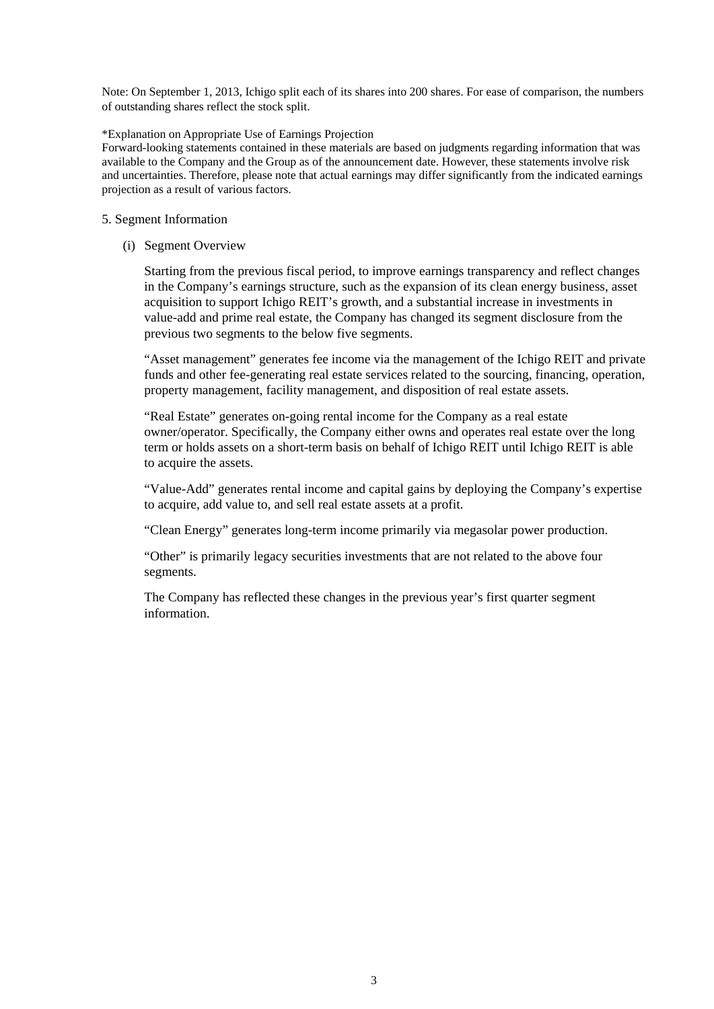Note: On September 1, 2013, Ichigo split each of its shares into 200 shares. For ease of comparison, the numbers of outstanding shares reflect the stock split.

#### \*Explanation on Appropriate Use of Earnings Projection

Forward-looking statements contained in these materials are based on judgments regarding information that was available to the Company and the Group as of the announcement date. However, these statements involve risk and uncertainties. Therefore, please note that actual earnings may differ significantly from the indicated earnings projection as a result of various factors.

#### 5. Segment Information

(i) Segment Overview

Starting from the previous fiscal period, to improve earnings transparency and reflect changes in the Company's earnings structure, such as the expansion of its clean energy business, asset acquisition to support Ichigo REIT's growth, and a substantial increase in investments in value-add and prime real estate, the Company has changed its segment disclosure from the previous two segments to the below five segments.

"Asset management" generates fee income via the management of the Ichigo REIT and private funds and other fee-generating real estate services related to the sourcing, financing, operation, property management, facility management, and disposition of real estate assets.

"Real Estate" generates on-going rental income for the Company as a real estate owner/operator. Specifically, the Company either owns and operates real estate over the long term or holds assets on a short-term basis on behalf of Ichigo REIT until Ichigo REIT is able to acquire the assets.

"Value-Add" generates rental income and capital gains by deploying the Company's expertise to acquire, add value to, and sell real estate assets at a profit.

"Clean Energy" generates long-term income primarily via megasolar power production.

"Other" is primarily legacy securities investments that are not related to the above four segments.

The Company has reflected these changes in the previous year's first quarter segment information.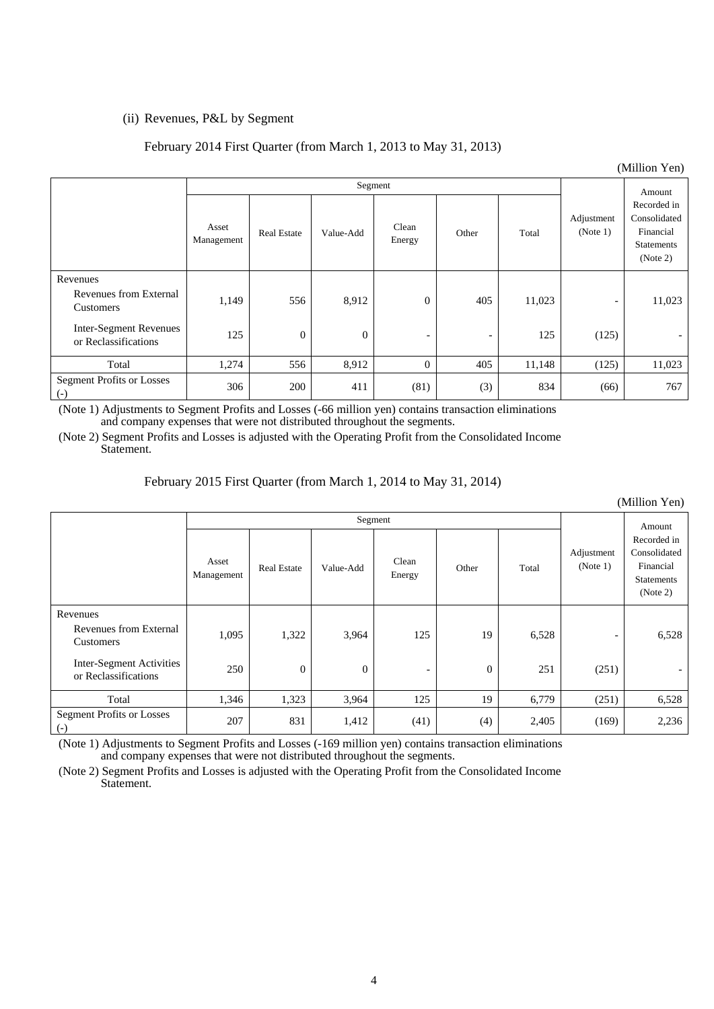## (ii) Revenues, P&L by Segment

## February 2014 First Quarter (from March 1, 2013 to May 31, 2013)

| $($ Million ren $)$                                   |                     |                    |                |                          |        |        |                          |                                                                           |
|-------------------------------------------------------|---------------------|--------------------|----------------|--------------------------|--------|--------|--------------------------|---------------------------------------------------------------------------|
|                                                       |                     |                    |                |                          | Amount |        |                          |                                                                           |
|                                                       | Asset<br>Management | <b>Real Estate</b> | Value-Add      | Clean<br>Energy          | Other  | Total  | Adjustment<br>(Note 1)   | Recorded in<br>Consolidated<br>Financial<br><b>Statements</b><br>(Note 2) |
| Revenues<br>Revenues from External<br>Customers       | 1,149               | 556                | 8,912          | $\overline{0}$           | 405    | 11,023 | $\overline{\phantom{a}}$ | 11,023                                                                    |
| <b>Inter-Segment Revenues</b><br>or Reclassifications | 125                 | $\theta$           | $\overline{0}$ | $\overline{\phantom{a}}$ |        | 125    | (125)                    |                                                                           |
| Total                                                 | 1,274               | 556                | 8,912          | $\overline{0}$           | 405    | 11,148 | (125)                    | 11,023                                                                    |
| <b>Segment Profits or Losses</b><br>$(\text{-})$      | 306                 | 200                | 411            | (81)                     | (3)    | 834    | (66)                     | 767                                                                       |

(Note 1) Adjustments to Segment Profits and Losses (-66 million yen) contains transaction eliminations and company expenses that were not distributed throughout the segments.

(Note 2) Segment Profits and Losses is adjusted with the Operating Profit from the Consolidated Income Statement.

| (імінноп теп)                                         |                     |                    |           |                          |                  |       |                          |                                                                           |
|-------------------------------------------------------|---------------------|--------------------|-----------|--------------------------|------------------|-------|--------------------------|---------------------------------------------------------------------------|
|                                                       |                     | Segment            |           |                          |                  |       |                          | Amount                                                                    |
|                                                       | Asset<br>Management | <b>Real Estate</b> | Value-Add | Clean<br>Energy          | Other            | Total | Adjustment<br>(Note 1)   | Recorded in<br>Consolidated<br>Financial<br><b>Statements</b><br>(Note 2) |
| Revenues<br>Revenues from External<br>Customers       | 1,095               | 1,322              | 3,964     | 125                      | 19               | 6,528 | $\overline{\phantom{0}}$ | 6,528                                                                     |
| Inter-Segment Activities<br>or Reclassifications      | 250                 | $\overline{0}$     | $\theta$  | $\overline{\phantom{a}}$ | $\boldsymbol{0}$ | 251   | (251)                    | $\overline{\phantom{0}}$                                                  |
| Total                                                 | 1,346               | 1,323              | 3,964     | 125                      | 19               | 6,779 | (251)                    | 6,528                                                                     |
| <b>Segment Profits or Losses</b><br>$\left( -\right)$ | 207                 | 831                | 1,412     | (41)                     | (4)              | 2,405 | (169)                    | 2,236                                                                     |

February 2015 First Quarter (from March 1, 2014 to May 31, 2014)

(Note 1) Adjustments to Segment Profits and Losses (-169 million yen) contains transaction eliminations and company expenses that were not distributed throughout the segments.

(Note 2) Segment Profits and Losses is adjusted with the Operating Profit from the Consolidated Income Statement.

 $(MTU)$   $\rightarrow$  Yen)

 $(ML11)$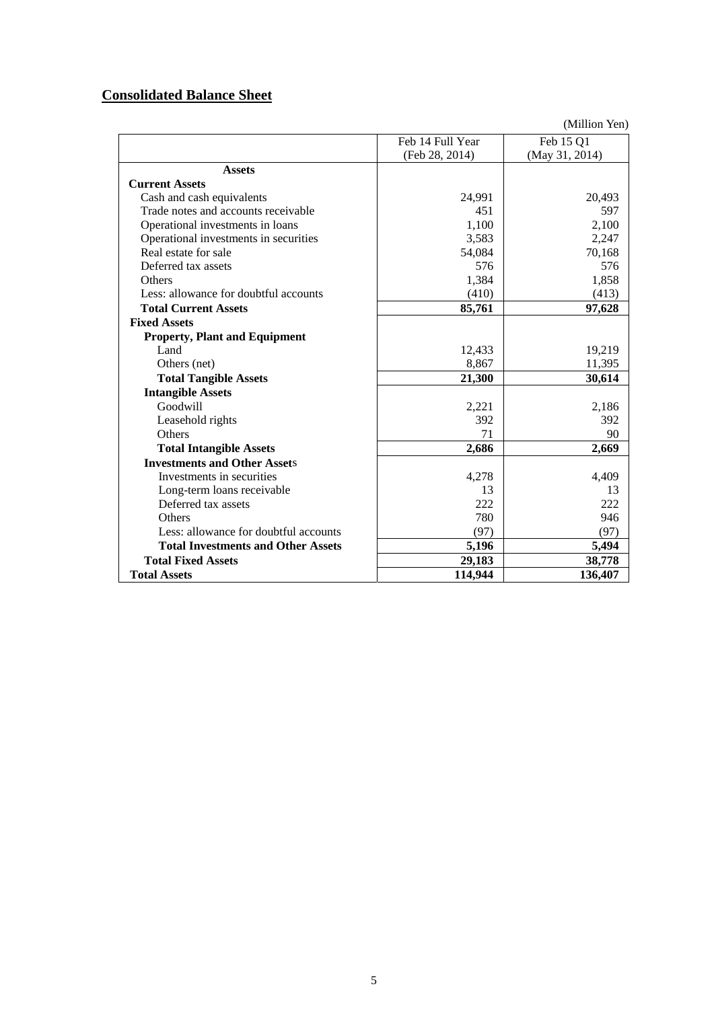# **Consolidated Balance Sheet**

|                                           | Feb 14 Full Year | Feb 15 Q1      |
|-------------------------------------------|------------------|----------------|
|                                           | (Feb 28, 2014)   | (May 31, 2014) |
| <b>Assets</b>                             |                  |                |
| <b>Current Assets</b>                     |                  |                |
| Cash and cash equivalents                 | 24,991           | 20,493         |
| Trade notes and accounts receivable       | 451              | 597            |
| Operational investments in loans          | 1,100            | 2,100          |
| Operational investments in securities     | 3,583            | 2,247          |
| Real estate for sale                      | 54,084           | 70,168         |
| Deferred tax assets                       | 576              | 576            |
| Others                                    | 1,384            | 1,858          |
| Less: allowance for doubtful accounts     | (410)            | (413)          |
| <b>Total Current Assets</b>               | 85,761           | 97,628         |
| <b>Fixed Assets</b>                       |                  |                |
| <b>Property, Plant and Equipment</b>      |                  |                |
| Land                                      | 12,433           | 19,219         |
| Others (net)                              | 8,867            | 11,395         |
| <b>Total Tangible Assets</b>              | 21,300           | 30,614         |
| <b>Intangible Assets</b>                  |                  |                |
| Goodwill                                  | 2,221            | 2,186          |
| Leasehold rights                          | 392              | 392            |
| Others                                    | 71               | 90             |
| <b>Total Intangible Assets</b>            | 2,686            | 2,669          |
| <b>Investments and Other Assets</b>       |                  |                |
| Investments in securities                 | 4,278            | 4,409          |
| Long-term loans receivable                | 13               | 13             |
| Deferred tax assets                       | 222              | 222            |
| <b>Others</b>                             | 780              | 946            |
| Less: allowance for doubtful accounts     | (97)             | (97)           |
| <b>Total Investments and Other Assets</b> | 5,196            | 5,494          |
| <b>Total Fixed Assets</b>                 | 29,183           | 38,778         |
| <b>Total Assets</b>                       | 114,944          | 136,407        |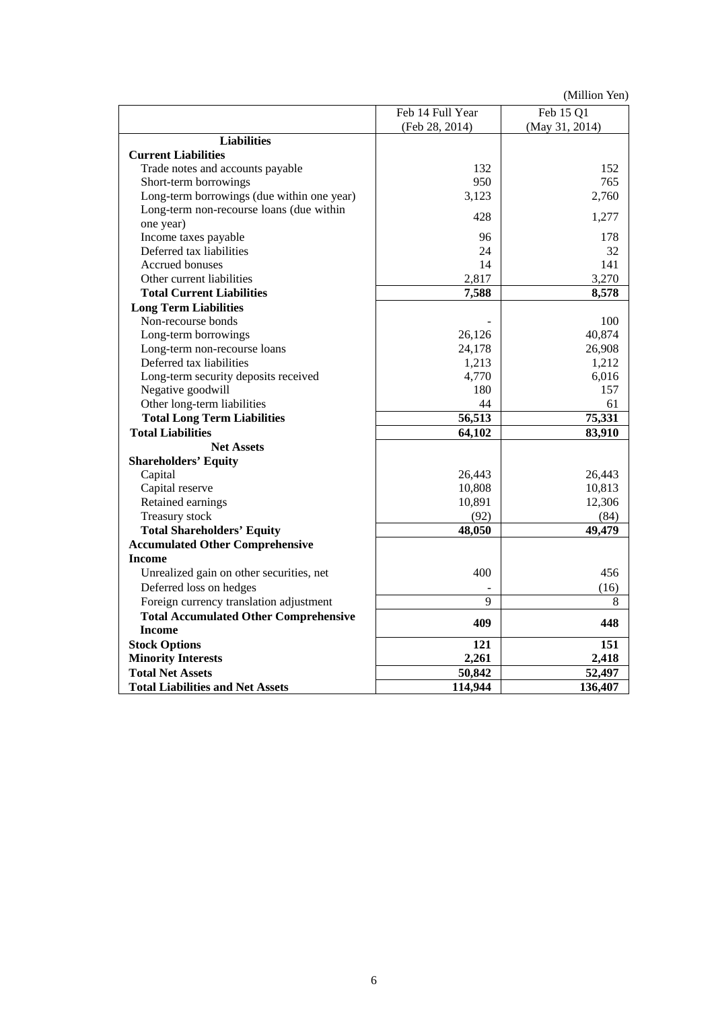|                                              | Feb 14 Full Year | Feb 15 Q1      |
|----------------------------------------------|------------------|----------------|
|                                              | (Feb 28, 2014)   | (May 31, 2014) |
| <b>Liabilities</b>                           |                  |                |
| <b>Current Liabilities</b>                   |                  |                |
| Trade notes and accounts payable             | 132              | 152            |
| Short-term borrowings                        | 950              | 765            |
| Long-term borrowings (due within one year)   | 3,123            | 2,760          |
| Long-term non-recourse loans (due within     | 428              | 1,277          |
| one year)                                    |                  |                |
| Income taxes payable                         | 96               | 178            |
| Deferred tax liabilities                     | 24               | 32             |
| <b>Accrued bonuses</b>                       | 14               | 141            |
| Other current liabilities                    | 2,817            | 3,270          |
| <b>Total Current Liabilities</b>             | 7,588            | 8,578          |
| <b>Long Term Liabilities</b>                 |                  |                |
| Non-recourse bonds                           |                  | 100            |
| Long-term borrowings                         | 26,126           | 40,874         |
| Long-term non-recourse loans                 | 24,178           | 26,908         |
| Deferred tax liabilities                     | 1,213            | 1,212          |
| Long-term security deposits received         | 4,770            | 6,016          |
| Negative goodwill                            | 180              | 157            |
| Other long-term liabilities                  | 44               | 61             |
| <b>Total Long Term Liabilities</b>           | 56,513           | 75,331         |
| <b>Total Liabilities</b>                     | 64,102           | 83,910         |
| <b>Net Assets</b>                            |                  |                |
| <b>Shareholders' Equity</b>                  |                  |                |
| Capital                                      | 26,443           | 26,443         |
| Capital reserve                              | 10,808           | 10,813         |
| Retained earnings                            | 10,891           | 12,306         |
| Treasury stock                               | (92)             | (84)           |
| <b>Total Shareholders' Equity</b>            | 48,050           | 49,479         |
| <b>Accumulated Other Comprehensive</b>       |                  |                |
| <b>Income</b>                                |                  |                |
| Unrealized gain on other securities, net     | 400              | 456            |
| Deferred loss on hedges                      |                  | (16)           |
| Foreign currency translation adjustment      | 9                | 8              |
| <b>Total Accumulated Other Comprehensive</b> | 409              | 448            |
| <b>Income</b>                                |                  |                |
| <b>Stock Options</b>                         | 121              | 151            |
| <b>Minority Interests</b>                    | 2,261            | 2,418          |
| <b>Total Net Assets</b>                      | 50,842           | 52,497         |
| <b>Total Liabilities and Net Assets</b>      | 114,944          | 136,407        |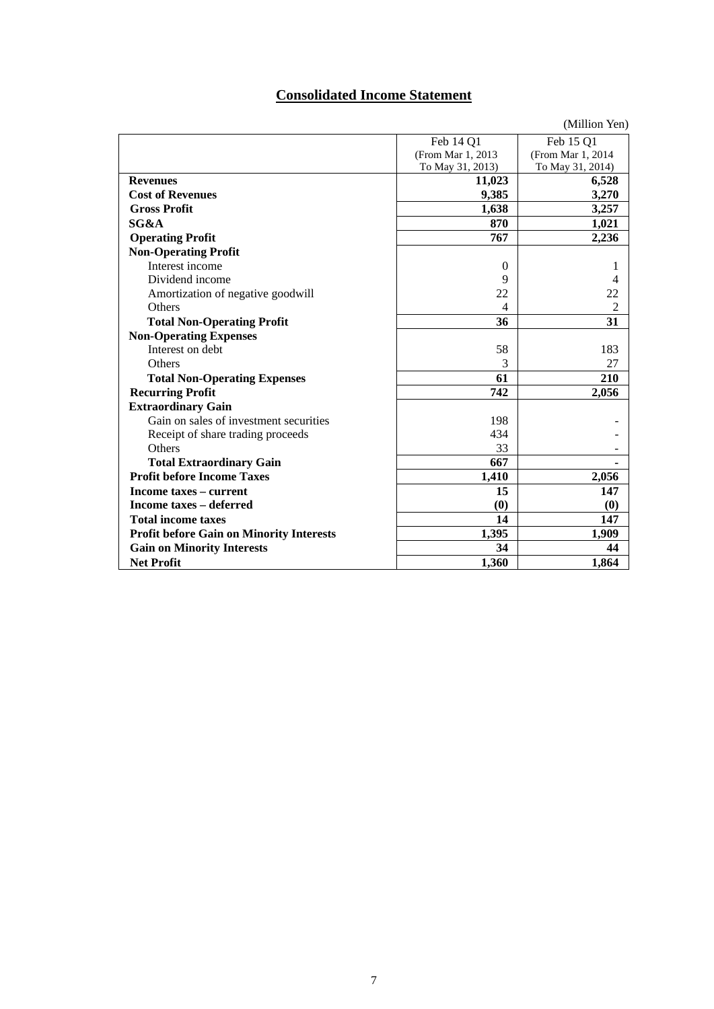# **Consolidated Income Statement**

|                                                 |                    | (Million Yen)     |
|-------------------------------------------------|--------------------|-------------------|
|                                                 | Feb 14 Q1          | Feb 15 Q1         |
|                                                 | (From Mar 1, 2013) | (From Mar 1, 2014 |
|                                                 | To May 31, 2013)   | To May 31, 2014)  |
| <b>Revenues</b>                                 | 11,023             | 6,528             |
| <b>Cost of Revenues</b>                         | 9,385              | 3,270             |
| <b>Gross Profit</b>                             | 1,638              | 3,257             |
| SG&A                                            | 870                | 1,021             |
| <b>Operating Profit</b>                         | 767                | 2,236             |
| <b>Non-Operating Profit</b>                     |                    |                   |
| Interest income                                 | $\overline{0}$     | 1                 |
| Dividend income                                 | 9                  | 4                 |
| Amortization of negative goodwill               | 22                 | 22                |
| Others                                          | 4                  | $\overline{2}$    |
| <b>Total Non-Operating Profit</b>               | 36                 | 31                |
| <b>Non-Operating Expenses</b>                   |                    |                   |
| Interest on debt                                | 58                 | 183               |
| Others                                          | 3                  | 27                |
| <b>Total Non-Operating Expenses</b>             | 61                 | 210               |
| <b>Recurring Profit</b>                         | 742                | 2,056             |
| <b>Extraordinary Gain</b>                       |                    |                   |
| Gain on sales of investment securities          | 198                |                   |
| Receipt of share trading proceeds               | 434                |                   |
| Others                                          | 33                 |                   |
| <b>Total Extraordinary Gain</b>                 | 667                |                   |
| <b>Profit before Income Taxes</b>               | 1,410              | 2,056             |
| Income taxes - current                          | 15                 | 147               |
| Income taxes – deferred                         | (0)                | (0)               |
| <b>Total income taxes</b>                       | 14                 | 147               |
| <b>Profit before Gain on Minority Interests</b> | 1,395              | 1,909             |
| <b>Gain on Minority Interests</b>               | 34                 | 44                |
| <b>Net Profit</b>                               | 1,360              | 1,864             |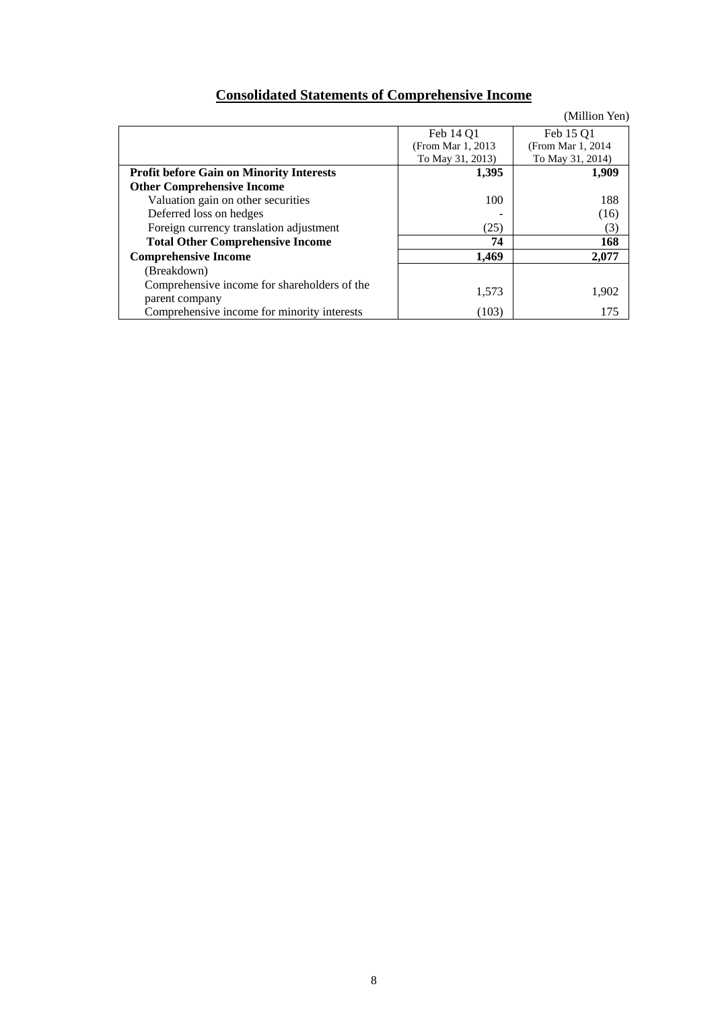# **Consolidated Statements of Comprehensive Income**

|                                                 |                    | (Million Yen)      |
|-------------------------------------------------|--------------------|--------------------|
|                                                 | Feb 14 O1          | Feb 15 O1          |
|                                                 | (From Mar 1, 2013) | (From Mar 1, 2014) |
|                                                 | To May 31, 2013)   | To May 31, 2014)   |
| <b>Profit before Gain on Minority Interests</b> | 1,395              | 1,909              |
| <b>Other Comprehensive Income</b>               |                    |                    |
| Valuation gain on other securities              | 100                | 188                |
| Deferred loss on hedges                         |                    | (16)               |
| Foreign currency translation adjustment         | (25)               | (3)                |
| <b>Total Other Comprehensive Income</b>         | 74                 | 168                |
| <b>Comprehensive Income</b>                     | 1.469              | 2,077              |
| (Breakdown)                                     |                    |                    |
| Comprehensive income for shareholders of the    |                    |                    |
| parent company                                  | 1,573              | 1,902              |
| Comprehensive income for minority interests     | (103)              | 175                |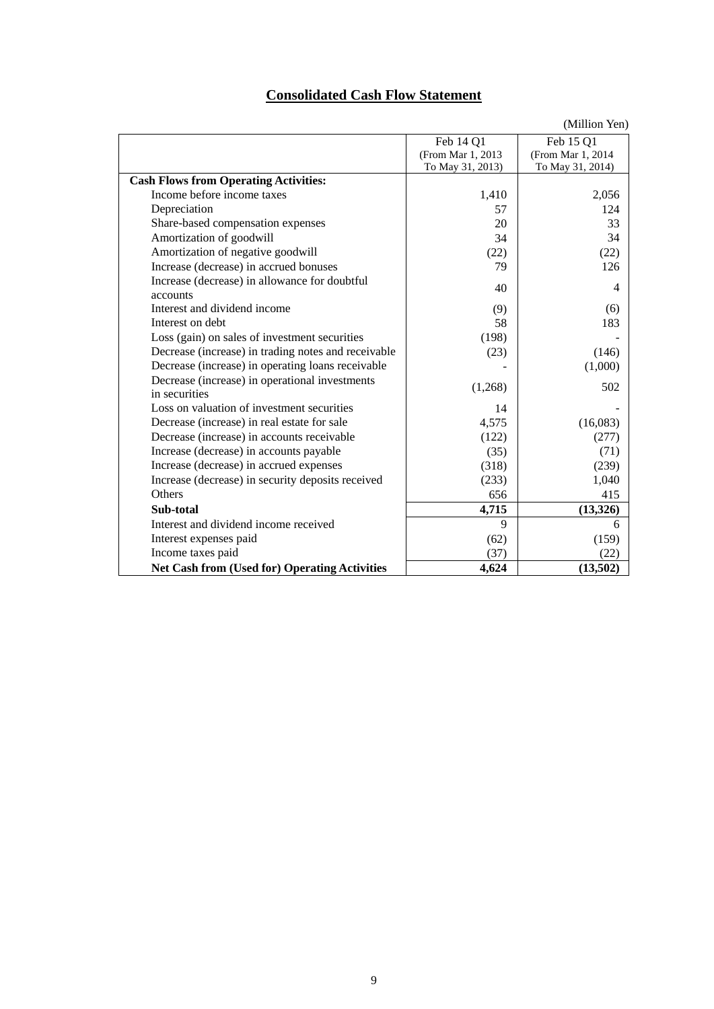# **Consolidated Cash Flow Statement**

|                                                      |                   | $\frac{1}{1}$     |
|------------------------------------------------------|-------------------|-------------------|
|                                                      | Feb 14 Q1         | Feb 15 Q1         |
|                                                      | (From Mar 1, 2013 | (From Mar 1, 2014 |
|                                                      | To May 31, 2013)  | To May 31, 2014)  |
| <b>Cash Flows from Operating Activities:</b>         |                   |                   |
| Income before income taxes                           | 1,410             | 2,056             |
| Depreciation                                         | 57                | 124               |
| Share-based compensation expenses                    | 20                | 33                |
| Amortization of goodwill                             | 34                | 34                |
| Amortization of negative goodwill                    | (22)              | (22)              |
| Increase (decrease) in accrued bonuses               | 79                | 126               |
| Increase (decrease) in allowance for doubtful        | 40                | $\overline{4}$    |
| accounts                                             |                   |                   |
| Interest and dividend income                         | (9)               | (6)               |
| Interest on debt                                     | 58                | 183               |
| Loss (gain) on sales of investment securities        | (198)             |                   |
| Decrease (increase) in trading notes and receivable  | (23)              | (146)             |
| Decrease (increase) in operating loans receivable    |                   | (1,000)           |
| Decrease (increase) in operational investments       |                   | 502               |
| in securities                                        | (1,268)           |                   |
| Loss on valuation of investment securities           | 14                |                   |
| Decrease (increase) in real estate for sale          | 4,575             | (16,083)          |
| Decrease (increase) in accounts receivable           | (122)             | (277)             |
| Increase (decrease) in accounts payable              | (35)              | (71)              |
| Increase (decrease) in accrued expenses              | (318)             | (239)             |
| Increase (decrease) in security deposits received    | (233)             | 1,040             |
| Others                                               | 656               | 415               |
| Sub-total                                            | 4,715             | (13,326)          |
| Interest and dividend income received                | 9                 | 6                 |
| Interest expenses paid                               | (62)              | (159)             |
| Income taxes paid                                    | (37)              | (22)              |
| <b>Net Cash from (Used for) Operating Activities</b> | 4,624             | (13,502)          |